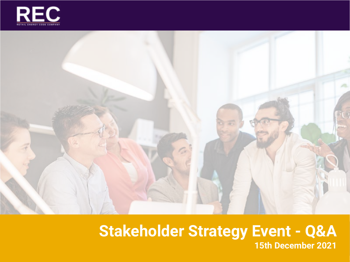



#### **Stakeholder Strategy Event - Q&A 15th December 2021**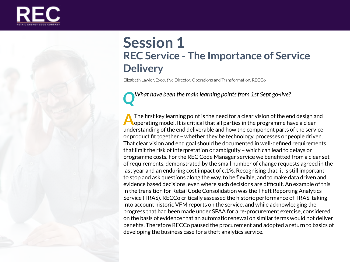

# **Session 1 REC Service - The Importance of Service Delivery**

Elizabeth Lawlor, Executive Director, Operations and Transformation, RECCo

*QWhat have been the main learning points from 1st Sept go-live?*

The first key learning point is the need for a clear vision of the end design and<br>operating model. It is critical that all parties in the programme have a clear understanding of the end deliverable and how the component parts of the service or product fit together – whether they be technology, processes or people driven. That clear vision and end goal should be documented in well-defined requirements that limit the risk of interpretation or ambiguity – which can lead to delays or programme costs. For the REC Code Manager service we benefitted from a clear set of requirements, demonstrated by the small number of change requests agreed in the last year and an enduring cost impact of c.1%. Recognising that, it is still important to stop and ask questions along the way, to be flexible, and to make data driven and evidence based decisions, even where such decisions are difficult. An example of this in the transition for Retail Code Consolidation was the Theft Reporting Analytics Service (TRAS). RECCo critically assessed the historic performance of TRAS, taking into account historic VFM reports on the service, and while acknowledging the progress that had been made under SPAA for a re-procurement exercise, considered on the basis of evidence that an automatic renewal on similar terms would not deliver benefits. Therefore RECCo paused the procurement and adopted a return to basics of developing the business case for a theft analytics service.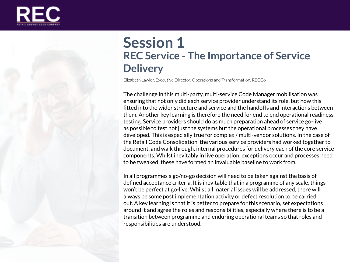



Elizabeth Lawlor, Executive Director, Operations and Transformation, RECCo

The challenge in this multi-party, multi-service Code Manager mobilisation was ensuring that not only did each service provider understand its role, but how this fitted into the wider structure and service and the handoffs and interactions between them. Another key learning is therefore the need for end to end operational readiness testing. Service providers should do as much preparation ahead of service go-live as possible to test not just the systems but the operational processes they have developed. This is especially true for complex / multi-vendor solutions. In the case of the Retail Code Consolidation, the various service providers had worked together to document, and walk through, internal procedures for delivery each of the core service components. Whilst inevitably in live operation, exceptions occur and processes need to be tweaked, these have formed an invaluable baseline to work from.

In all programmes a go/no-go decision will need to be taken against the basis of defined acceptance criteria. It is inevitable that in a programme of any scale, things won't be perfect at go-live. Whilst all material issues will be addressed, there will always be some post implementation activity or defect resolution to be carried out. A key learning is that it is better to prepare for this scenario, set expectations around it and agree the roles and responsibilities, especially where there is to be a transition between programme and enduring operational teams so that roles and responsibilities are understood.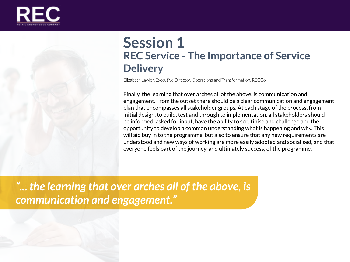



# **Session 1 REC Service - The Importance of Service Delivery**

Elizabeth Lawlor, Executive Director, Operations and Transformation, RECCo

Finally, the learning that over arches all of the above, is communication and engagement. From the outset there should be a clear communication and engagement plan that encompasses all stakeholder groups. At each stage of the process, from initial design, to build, test and through to implementation, all stakeholders should be informed, asked for input, have the ability to scrutinise and challenge and the opportunity to develop a common understanding what is happening and why. This will aid buy in to the programme, but also to ensure that any new requirements are understood and new ways of working are more easily adopted and socialised, and that everyone feels part of the journey, and ultimately success, of the programme.

*"... the learning that over arches all of the above, is communication and engagement."*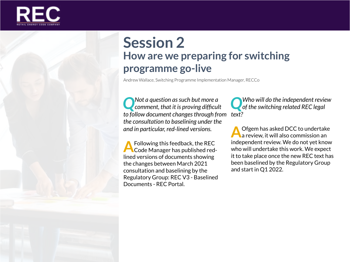

### **Session 2 How are we preparing for switching programme go-live**

Andrew Wallace, Switching Programme Implementation Manager, RECCo

*QNot a question as such but more a comment, that it is proving difficult to follow document changes through from text? the consultation to baselining under the and in particular, red-lined versions.*

**A** Following this feedback, the REC<br>Code Manager has published redlined versions of documents showing the changes between March 2021 consultation and baselining by the Regulatory Group: REC V3 - Baselined Documents - REC Portal.

*QWho will do the independent review of the switching related REC legal* 

**A**Ofgem has asked DCC to undertake<br>a review, it will also commission an independent review. We do not yet know who will undertake this work. We expect it to take place once the new REC text has been baselined by the Regulatory Group and start in Q1 2022.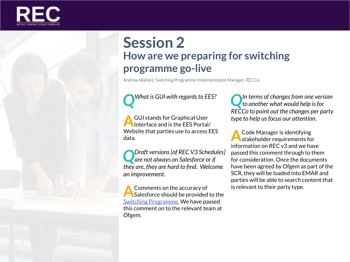

# **Session 2 How are we preparing for switching programme go-live**

Andrew Wallace, Switching Programme Implementation Manager, RECCo

*QWhat is GUI with regards to EES?* 

**A**GUI stands for Graphical User Interface and is the EES Portal/ Website that parties use to access EES data.

*QDraft versions [of REC V3 Schedules] are not always on Salesforce or if they are, they are hard to find. Welcome an improvement.*

**A** Comments on the accuracy of<br>Salesforce should be provided to the [Switching Programme.](mailto:switchingpmo%40ofgem.gov.uk?subject=) We have passed this comment on to the relevant team at Ofgem.

*QIn terms of changes from one version to another what would help is for RECCo to point out the changes per party type to help us focus our attention.*

**A**Code Manager is identifying<br>stakeholder requirements for information on REC v3 and we have passed this comment through to them for consideration. Once the documents have been agreed by Ofgem as part of the SCR, they will be loaded into EMAR and parties will be able to search content that is relevant to their party type.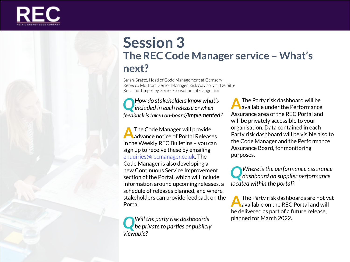

### **Session 3 The REC Code Manager service – What's next?**

Sarah Gratte, Head of Code Management at Gemserv Rebecca Mottram, Senior Manager, Risk Advisory at Deloitte Rosalind Timperley, Senior Consultant at Capgemini

*QHow do stakeholders know what's included in each release or when feedback is taken on-board/implemented?* 

**A**The Code Manager will provide<br>advance notice of Portal Releases in the Weekly REC Bulletins – you can sign up to receive these by emailing [enquiries@recmanager.co.uk](mailto:enquiries%40recmanager.co.uk?subject=). The Code Manager is also developing a new Continuous Service Improvement section of the Portal, which will include information around upcoming releases, a schedule of releases planned, and where stakeholders can provide feedback on the Portal.

*QWill the party risk dashboards be private to parties or publicly viewable?*

**A**The Party risk dashboard will be available under the Performance Assurance area of the REC Portal and will be privately accessible to your organisation. Data contained in each Party risk dashboard will be visible also to the Code Manager and the Performance Assurance Board, for monitoring purposes.

*QWhere is the performance assurance dashboard on supplier performance located within the portal?*

**A**The Party risk dashboards are not yet available on the REC Portal and will be delivered as part of a future release, planned for March 2022.